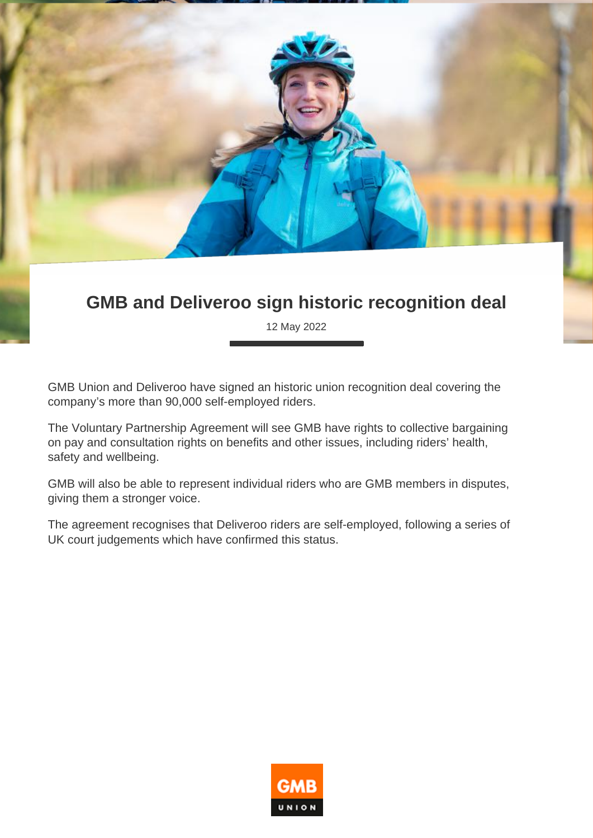

## **GMB and Deliveroo sign historic recognition deal**

12 May 2022

GMB Union and Deliveroo have signed an historic union recognition deal covering the company's more than 90,000 self-employed riders.

The Voluntary Partnership Agreement will see GMB have rights to collective bargaining on pay and consultation rights on benefits and other issues, including riders' health, safety and wellbeing.

GMB will also be able to represent individual riders who are GMB members in disputes, giving them a stronger voice.

The agreement recognises that Deliveroo riders are self-employed, following a series of UK court judgements which have confirmed this status.

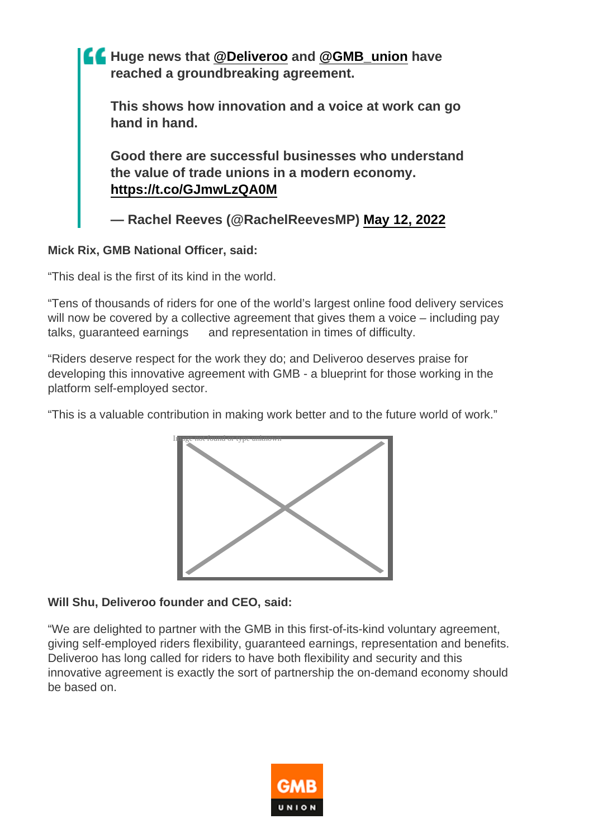

Mick Rix, GMB National Officer, said:

"This deal is the first of its kind in the world.

"Tens of thousands of riders for one of the world's largest online food delivery services will now be covered by a collective agreement that gives them a voice – including pay talks, guaranteed earnings and representation in times of difficulty.

"Riders deserve respect for the work they do; and Deliveroo deserves praise for developing this innovative agreement with GMB - a blueprint for those working in the platform self-employed sector.

"This is a valuable contribution in making work better and to the future world of work."



Will Shu, Deliveroo founder and CEO, said:

"We are delighted to partner with the GMB in this first-of-its-kind voluntary agreement, giving self-employed riders flexibility, guaranteed earnings, representation and benefits. Deliveroo has long called for riders to have both flexibility and security and this innovative agreement is exactly the sort of partnership the on-demand economy should be based on.